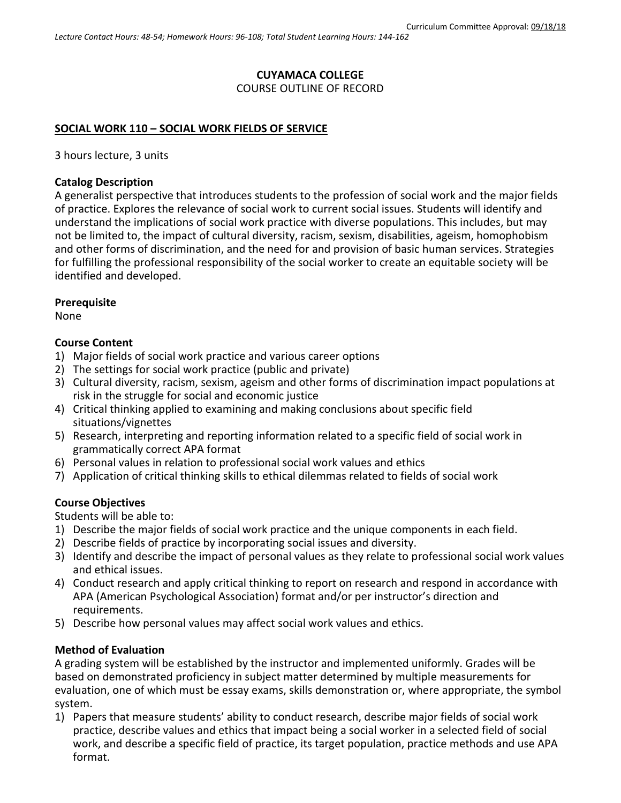# **CUYAMACA COLLEGE**

COURSE OUTLINE OF RECORD

### **SOCIAL WORK 110 – SOCIAL WORK FIELDS OF SERVICE**

3 hours lecture, 3 units

### **Catalog Description**

A generalist perspective that introduces students to the profession of social work and the major fields of practice. Explores the relevance of social work to current social issues. Students will identify and understand the implications of social work practice with diverse populations. This includes, but may not be limited to, the impact of cultural diversity, racism, sexism, disabilities, ageism, homophobism and other forms of discrimination, and the need for and provision of basic human services. Strategies for fulfilling the professional responsibility of the social worker to create an equitable society will be identified and developed.

### **Prerequisite**

None

### **Course Content**

- 1) Major fields of social work practice and various career options
- 2) The settings for social work practice (public and private)
- 3) Cultural diversity, racism, sexism, ageism and other forms of discrimination impact populations at risk in the struggle for social and economic justice
- 4) Critical thinking applied to examining and making conclusions about specific field situations/vignettes
- 5) Research, interpreting and reporting information related to a specific field of social work in grammatically correct APA format
- 6) Personal values in relation to professional social work values and ethics
- 7) Application of critical thinking skills to ethical dilemmas related to fields of social work

# **Course Objectives**

Students will be able to:

- 1) Describe the major fields of social work practice and the unique components in each field.
- 2) Describe fields of practice by incorporating social issues and diversity.
- 3) Identify and describe the impact of personal values as they relate to professional social work values and ethical issues.
- 4) Conduct research and apply critical thinking to report on research and respond in accordance with APA (American Psychological Association) format and/or per instructor's direction and requirements.
- 5) Describe how personal values may affect social work values and ethics.

# **Method of Evaluation**

A grading system will be established by the instructor and implemented uniformly. Grades will be based on demonstrated proficiency in subject matter determined by multiple measurements for evaluation, one of which must be essay exams, skills demonstration or, where appropriate, the symbol system.

1) Papers that measure students' ability to conduct research, describe major fields of social work practice, describe values and ethics that impact being a social worker in a selected field of social work, and describe a specific field of practice, its target population, practice methods and use APA format.